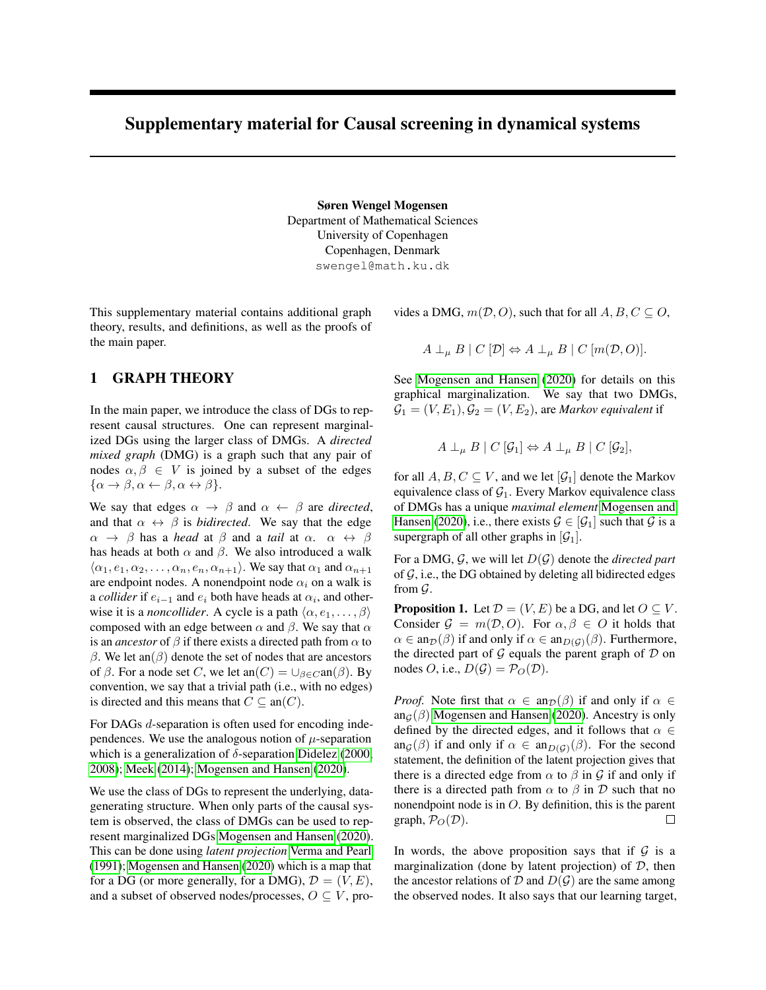# <span id="page-0-0"></span>Supplementary material for Causal screening in dynamical systems

Søren Wengel Mogensen Department of Mathematical Sciences University of Copenhagen Copenhagen, Denmark swengel@math.ku.dk

This supplementary material contains additional graph theory, results, and definitions, as well as the proofs of the main paper.

## 1 GRAPH THEORY

In the main paper, we introduce the class of DGs to represent causal structures. One can represent marginalized DGs using the larger class of DMGs. A *directed mixed graph* (DMG) is a graph such that any pair of nodes  $\alpha, \beta \in V$  is joined by a subset of the edges  $\{\alpha \rightarrow \beta, \alpha \leftarrow \beta, \alpha \leftrightarrow \beta\}.$ 

We say that edges  $\alpha \rightarrow \beta$  and  $\alpha \leftarrow \beta$  are *directed*, and that  $\alpha \leftrightarrow \beta$  is *bidirected*. We say that the edge  $\alpha \rightarrow \beta$  has a *head* at  $\beta$  and a *tail* at  $\alpha$ .  $\alpha \leftrightarrow \beta$ has heads at both  $\alpha$  and  $\beta$ . We also introduced a walk  $\langle \alpha_1, e_1, \alpha_2, \ldots, \alpha_n, e_n, \alpha_{n+1} \rangle$ . We say that  $\alpha_1$  and  $\alpha_{n+1}$ are endpoint nodes. A nonendpoint node  $\alpha_i$  on a walk is a *collider* if  $e_{i-1}$  and  $e_i$  both have heads at  $\alpha_i$ , and otherwise it is a *noncollider*. A cycle is a path  $\langle \alpha, e_1, \dots, \beta \rangle$ composed with an edge between  $\alpha$  and  $\beta$ . We say that  $\alpha$ is an *ancestor* of  $\beta$  if there exists a directed path from  $\alpha$  to  $β$ . We let an( $β$ ) denote the set of nodes that are ancestors of  $\beta$ . For a node set C, we let an(C) =  $\cup_{\beta \in C}$ an( $\beta$ ). By convention, we say that a trivial path (i.e., with no edges) is directed and this means that  $C \subseteq an(C)$ .

For DAGs *d*-separation is often used for encoding independences. We use the analogous notion of  $\mu$ -separation which is a generalization of  $\delta$ -separation [Didelez](#page-2-0) [\(2000,](#page-2-0) [2008\)](#page-3-0); [Meek](#page-3-1) [\(2014\)](#page-3-1); [Mogensen and Hansen](#page-3-2) [\(2020\)](#page-3-2).

We use the class of DGs to represent the underlying, datagenerating structure. When only parts of the causal system is observed, the class of DMGs can be used to represent marginalized DGs [Mogensen and Hansen](#page-3-2) [\(2020\)](#page-3-2). This can be done using *latent projection* [Verma and Pearl](#page-3-3) [\(1991\)](#page-3-3); [Mogensen and Hansen](#page-3-2) [\(2020\)](#page-3-2) which is a map that for a DG (or more generally, for a DMG),  $\mathcal{D} = (V, E)$ , and a subset of observed nodes/processes,  $O \subseteq V$ , provides a DMG,  $m(D, O)$ , such that for all  $A, B, C \subseteq O$ ,

$$
A \perp_{\mu} B \mid C [D] \Leftrightarrow A \perp_{\mu} B \mid C [m(D, O)].
$$

See [Mogensen and Hansen](#page-3-2) [\(2020\)](#page-3-2) for details on this graphical marginalization. We say that two DMGs,  $\mathcal{G}_1 = (V, E_1), \mathcal{G}_2 = (V, E_2)$ , are *Markov equivalent* if

$$
A \perp_{\mu} B \mid C \left[ \mathcal{G}_1 \right] \Leftrightarrow A \perp_{\mu} B \mid C \left[ \mathcal{G}_2 \right],
$$

for all  $A, B, C \subseteq V$ , and we let  $[\mathcal{G}_1]$  denote the Markov equivalence class of  $G_1$ . Every Markov equivalence class of DMGs has a unique *maximal element* [Mogensen and](#page-3-2) [Hansen](#page-3-2) [\(2020\)](#page-3-2), i.e., there exists  $\mathcal{G} \in [\mathcal{G}_1]$  such that  $\mathcal{G}$  is a supergraph of all other graphs in  $[\mathcal{G}_1]$ .

For a DMG, G, we will let D(G) denote the *directed part* of  $G$ , i.e., the DG obtained by deleting all bidirected edges from  $\mathcal{G}$ .

**Proposition 1.** Let  $\mathcal{D} = (V, E)$  be a DG, and let  $O \subseteq V$ . Consider  $\mathcal{G} = m(\mathcal{D}, O)$ . For  $\alpha, \beta \in O$  it holds that  $\alpha \in \text{an}_{\mathcal{D}}(\beta)$  if and only if  $\alpha \in \text{an}_{D(G)}(\beta)$ . Furthermore, the directed part of  $G$  equals the parent graph of  $D$  on nodes O, i.e.,  $D(\mathcal{G}) = \mathcal{P}_O(\mathcal{D})$ .

*Proof.* Note first that  $\alpha \in \text{an}_{\mathcal{D}}(\beta)$  if and only if  $\alpha \in$ an<sub>G</sub>( $\beta$ ) [Mogensen and Hansen](#page-3-2) [\(2020\)](#page-3-2). Ancestry is only defined by the directed edges, and it follows that  $\alpha \in$ an<sub>G</sub>( $\beta$ ) if and only if  $\alpha \in \text{an}_{D(G)}(\beta)$ . For the second statement, the definition of the latent projection gives that there is a directed edge from  $\alpha$  to  $\beta$  in  $\mathcal G$  if and only if there is a directed path from  $\alpha$  to  $\beta$  in  $\mathcal D$  such that no nonendpoint node is in O. By definition, this is the parent graph,  $P_O(\mathcal{D})$ .  $\Box$ 

In words, the above proposition says that if  $G$  is a marginalization (done by latent projection) of  $D$ , then the ancestor relations of  $D$  and  $D(G)$  are the same among the observed nodes. It also says that our learning target,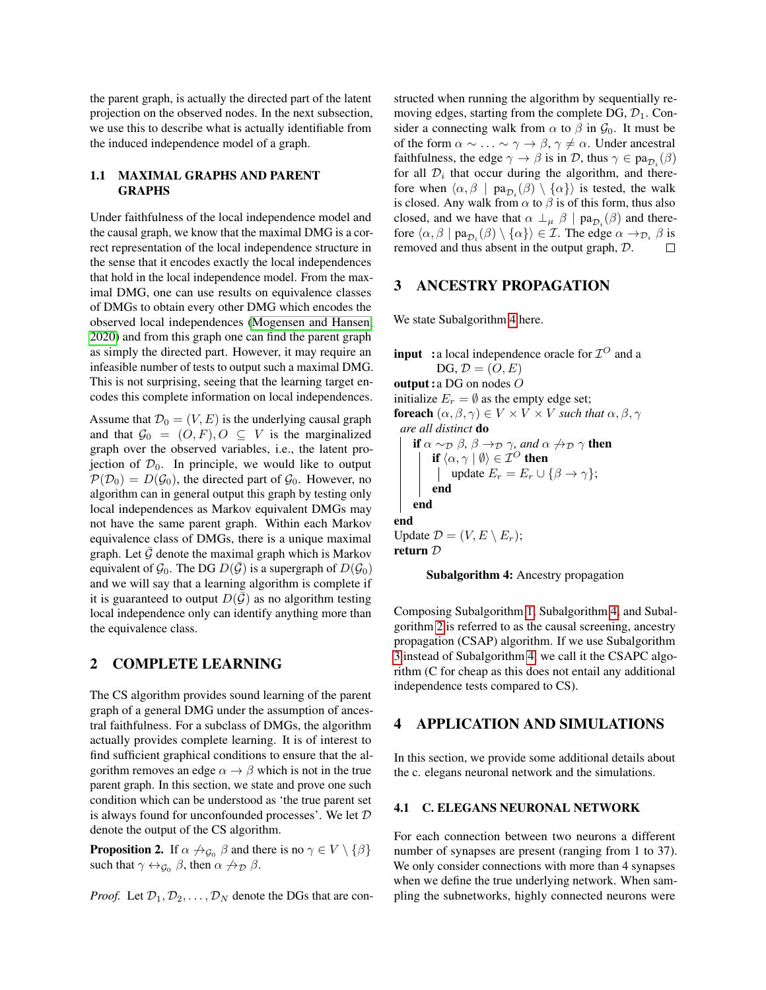the parent graph, is actually the directed part of the latent projection on the observed nodes. In the next subsection, we use this to describe what is actually identifiable from the induced independence model of a graph.

#### 1.1 MAXIMAL GRAPHS AND PARENT GRAPHS

Under faithfulness of the local independence model and the causal graph, we know that the maximal DMG is a correct representation of the local independence structure in the sense that it encodes exactly the local independences that hold in the local independence model. From the maximal DMG, one can use results on equivalence classes of DMGs to obtain every other DMG which encodes the observed local independences [\(Mogensen and Hansen,](#page-3-2) [2020\)](#page-3-2) and from this graph one can find the parent graph as simply the directed part. However, it may require an infeasible number of tests to output such a maximal DMG. This is not surprising, seeing that the learning target encodes this complete information on local independences.

Assume that  $\mathcal{D}_0 = (V, E)$  is the underlying causal graph and that  $\mathcal{G}_0 = (O, F), O \subseteq V$  is the marginalized graph over the observed variables, i.e., the latent projection of  $\mathcal{D}_0$ . In principle, we would like to output  $\mathcal{P}(\mathcal{D}_0) = D(\mathcal{G}_0)$ , the directed part of  $\mathcal{G}_0$ . However, no algorithm can in general output this graph by testing only local independences as Markov equivalent DMGs may not have the same parent graph. Within each Markov equivalence class of DMGs, there is a unique maximal graph. Let  $G$  denote the maximal graph which is Markov equivalent of  $\mathcal{G}_0$ . The DG  $D(\bar{\mathcal{G}})$  is a supergraph of  $D(\mathcal{G}_0)$ and we will say that a learning algorithm is complete if it is guaranteed to output  $D(\mathcal{G})$  as no algorithm testing local independence only can identify anything more than the equivalence class.

### 2 COMPLETE LEARNING

The CS algorithm provides sound learning of the parent graph of a general DMG under the assumption of ancestral faithfulness. For a subclass of DMGs, the algorithm actually provides complete learning. It is of interest to find sufficient graphical conditions to ensure that the algorithm removes an edge  $\alpha \rightarrow \beta$  which is not in the true parent graph. In this section, we state and prove one such condition which can be understood as 'the true parent set is always found for unconfounded processes'. We let D denote the output of the CS algorithm.

**Proposition 2.** If  $\alpha \nrightarrow_{\mathcal{G}_0} \beta$  and there is no  $\gamma \in V \setminus {\beta}$ such that  $\gamma \leftrightarrow_{\mathcal{G}_0} \beta$ , then  $\alpha \nrightarrow_{\mathcal{D}} \beta$ .

*Proof.* Let  $\mathcal{D}_1, \mathcal{D}_2, \ldots, \mathcal{D}_N$  denote the DGs that are con-

structed when running the algorithm by sequentially removing edges, starting from the complete DG,  $\mathcal{D}_1$ . Consider a connecting walk from  $\alpha$  to  $\beta$  in  $\mathcal{G}_0$ . It must be of the form  $\alpha \sim \ldots \sim \gamma \to \beta$ ,  $\gamma \neq \alpha$ . Under ancestral faithfulness, the edge  $\gamma \to \beta$  is in D, thus  $\gamma \in \text{pa}_{\mathcal{D}_i}(\beta)$ for all  $\mathcal{D}_i$  that occur during the algorithm, and therefore when  $\langle \alpha, \beta |$   $pa_{\mathcal{D}_i}(\beta) \setminus {\alpha} \rangle$  is tested, the walk is closed. Any walk from  $\alpha$  to  $\beta$  is of this form, thus also closed, and we have that  $\alpha \perp_{\mu} \beta \mid pa_{\mathcal{D}_i}(\beta)$  and therefore  $\langle \alpha, \beta \mid pa_{\mathcal{D}_i}(\beta) \setminus \{\alpha\}\rangle \in \mathcal{I}$ . The edge  $\alpha \to_{\mathcal{D}_i} \beta$  is removed and thus absent in the output graph, D.  $\Box$ 

### 3 ANCESTRY PROPAGATION

We state Subalgorithm [4](#page-1-0) here.

**input** : a local independence oracle for  $\mathcal{I}^O$  and a  $DG, \mathcal{D} = (O, E)$ output :a DG on nodes O initialize  $E_r = \emptyset$  as the empty edge set; foreach  $(\alpha, \beta, \gamma) \in V \times V \times V$  *such that*  $\alpha, \beta, \gamma$ *are all distinct* do **if**  $\alpha \sim_{\mathcal{D}} \beta$ ,  $\beta \rightarrow_{\mathcal{D}} \gamma$ , and  $\alpha \not\rightarrow_{\mathcal{D}} \gamma$  then if  $\langle \alpha, \gamma | \emptyset \rangle \in \mathcal{I}^{\mathcal{O}}$  then | update  $E_r = E_r \cup {\beta \rightarrow \gamma};$ end end end Update  $\mathcal{D} = (V, E \setminus E_r);$ return D

<span id="page-1-0"></span>

Composing Subalgorithm [1,](#page-0-0) Subalgorithm [4,](#page-1-0) and Subalgorithm [2](#page-0-0) is referred to as the causal screening, ancestry propagation (CSAP) algorithm. If we use Subalgorithm [3](#page-0-0) instead of Subalgorithm [4,](#page-1-0) we call it the CSAPC algorithm (C for cheap as this does not entail any additional independence tests compared to CS).

#### 4 APPLICATION AND SIMULATIONS

In this section, we provide some additional details about the c. elegans neuronal network and the simulations.

#### 4.1 C. ELEGANS NEURONAL NETWORK

For each connection between two neurons a different number of synapses are present (ranging from 1 to 37). We only consider connections with more than 4 synapses when we define the true underlying network. When sampling the subnetworks, highly connected neurons were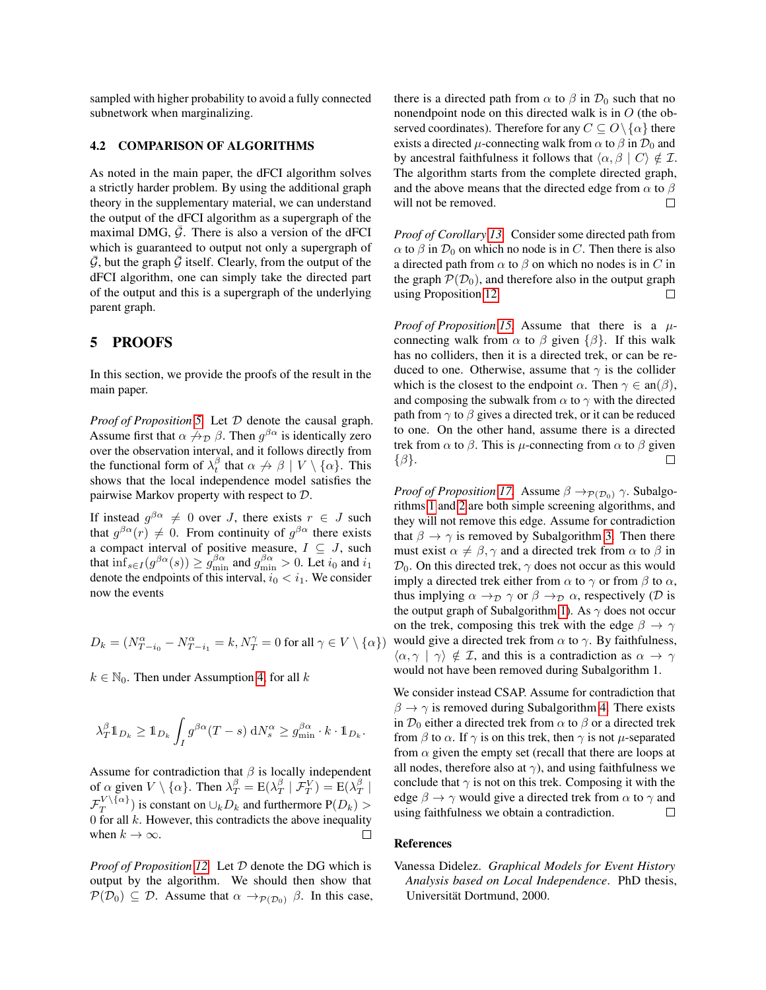sampled with higher probability to avoid a fully connected subnetwork when marginalizing.

#### 4.2 COMPARISON OF ALGORITHMS

As noted in the main paper, the dFCI algorithm solves a strictly harder problem. By using the additional graph theory in the supplementary material, we can understand the output of the dFCI algorithm as a supergraph of the maximal DMG,  $\bar{G}$ . There is also a version of the dFCI which is guaranteed to output not only a supergraph of  $\mathcal G$ , but the graph  $\mathcal G$  itself. Clearly, from the output of the dFCI algorithm, one can simply take the directed part of the output and this is a supergraph of the underlying parent graph.

## 5 PROOFS

In this section, we provide the proofs of the result in the main paper.

*Proof of Proposition [5.](#page-0-0)* Let D denote the causal graph. Assume first that  $\alpha \not\to_{\mathcal{D}} \beta$ . Then  $g^{\beta\alpha}$  is identically zero over the observation interval, and it follows directly from the functional form of  $\lambda_t^{\beta}$  that  $\alpha \not\rightarrow \beta \mid V \setminus \{\alpha\}$ . This shows that the local independence model satisfies the pairwise Markov property with respect to D.

If instead  $g^{\beta\alpha} \neq 0$  over J, there exists  $r \in J$  such that  $g^{\beta\alpha}(r) \neq 0$ . From continuity of  $g^{\beta\alpha}$  there exists a compact interval of positive measure,  $I \subseteq J$ , such that  $\inf_{s \in I} (g^{\beta \alpha}(s)) \geq g_{\min}^{\beta \alpha}$  and  $g_{\min}^{\beta \alpha} > 0$ . Let  $i_0$  and  $i_1$ denote the endpoints of this interval,  $i_0 < i_1$ . We consider now the events

$$
D_k=(N_{T-i_0}^\alpha-N_{T-i_1}^\alpha=k, N_T^\gamma=0\text{ for all }\gamma\in V\setminus\{\alpha\})
$$

 $k \in \mathbb{N}_0$ . Then under Assumption [4,](#page-0-0) for all k

$$
\lambda_T^{\beta} \mathbb{1}_{D_k} \geq \mathbb{1}_{D_k} \int_I g^{\beta \alpha} (T - s) \, \mathrm{d} N_s^{\alpha} \geq g_{\min}^{\beta \alpha} \cdot k \cdot \mathbb{1}_{D_k}.
$$

Assume for contradiction that  $\beta$  is locally independent of  $\alpha$  given  $V \setminus {\{\alpha\}}$ . Then  $\lambda_T^{\beta} = E(\lambda_T^{\beta} | \mathcal{F}_T^V) = E(\lambda_T^{\beta} |$  $\mathcal{F}_T^{V\setminus\{\alpha\}}$  $\binom{V}{T}$  is constant on  $\cup_k D_k$  and furthermore  $P(D_k) >$ 0 for all  $k$ . However, this contradicts the above inequality when  $k \to \infty$ . П

*Proof of Proposition [12.](#page-0-0)* Let D denote the DG which is output by the algorithm. We should then show that  $\mathcal{P}(\mathcal{D}_0) \subseteq \mathcal{D}$ . Assume that  $\alpha \to_{\mathcal{P}(\mathcal{D}_0)} \beta$ . In this case, there is a directed path from  $\alpha$  to  $\beta$  in  $\mathcal{D}_0$  such that no nonendpoint node on this directed walk is in  $O$  (the observed coordinates). Therefore for any  $C \subseteq O \setminus \{\alpha\}$  there exists a directed  $\mu$ -connecting walk from  $\alpha$  to  $\beta$  in  $\mathcal{D}_0$  and by ancestral faithfulness it follows that  $\langle \alpha, \beta | C \rangle \notin \mathcal{I}$ . The algorithm starts from the complete directed graph, and the above means that the directed edge from  $\alpha$  to  $\beta$  $\Box$ will not be removed.

*Proof of Corollary [13.](#page-0-0)* Consider some directed path from  $\alpha$  to  $\beta$  in  $\mathcal{D}_0$  on which no node is in C. Then there is also a directed path from  $\alpha$  to  $\beta$  on which no nodes is in C in the graph  $\mathcal{P}(\mathcal{D}_0)$ , and therefore also in the output graph using Proposition [12.](#page-0-0)  $\Box$ 

*Proof of Proposition [15.](#page-0-0)* Assume that there is a µconnecting walk from  $\alpha$  to  $\beta$  given  $\{\beta\}$ . If this walk has no colliders, then it is a directed trek, or can be reduced to one. Otherwise, assume that  $\gamma$  is the collider which is the closest to the endpoint  $\alpha$ . Then  $\gamma \in \text{an}(\beta)$ , and composing the subwalk from  $\alpha$  to  $\gamma$  with the directed path from  $\gamma$  to  $\beta$  gives a directed trek, or it can be reduced to one. On the other hand, assume there is a directed trek from  $\alpha$  to  $\beta$ . This is  $\mu$ -connecting from  $\alpha$  to  $\beta$  given  $\Box$  $\{\beta\}.$ 

*Proof of Proposition [17.](#page-0-0)* Assume  $\beta \rightarrow_{\mathcal{P}(\mathcal{D}_0)} \gamma$ . Subalgorithms [1](#page-0-0) and [2](#page-0-0) are both simple screening algorithms, and they will not remove this edge. Assume for contradiction that  $\beta \to \gamma$  is removed by Subalgorithm [3.](#page-0-0) Then there must exist  $\alpha \neq \beta, \gamma$  and a directed trek from  $\alpha$  to  $\beta$  in  $\mathcal{D}_0$ . On this directed trek,  $\gamma$  does not occur as this would imply a directed trek either from  $\alpha$  to  $\gamma$  or from  $\beta$  to  $\alpha$ , thus implying  $\alpha \rightarrow_{\mathcal{D}} \gamma$  or  $\beta \rightarrow_{\mathcal{D}} \alpha$ , respectively ( $\mathcal D$  is the output graph of Subalgorithm [1\)](#page-0-0). As  $\gamma$  does not occur on the trek, composing this trek with the edge  $\beta \rightarrow \gamma$ would give a directed trek from  $\alpha$  to  $\gamma$ . By faithfulness,  $\langle \alpha, \gamma | \gamma \rangle \notin \mathcal{I}$ , and this is a contradiction as  $\alpha \to \gamma$ would not have been removed during Subalgorithm 1.

We consider instead CSAP. Assume for contradiction that  $\beta \rightarrow \gamma$  is removed during Subalgorithm [4.](#page-1-0) There exists in  $\mathcal{D}_0$  either a directed trek from  $\alpha$  to  $\beta$  or a directed trek from  $\beta$  to  $\alpha$ . If  $\gamma$  is on this trek, then  $\gamma$  is not  $\mu$ -separated from  $\alpha$  given the empty set (recall that there are loops at all nodes, therefore also at  $\gamma$ ), and using faithfulness we conclude that  $\gamma$  is not on this trek. Composing it with the edge  $\beta \rightarrow \gamma$  would give a directed trek from  $\alpha$  to  $\gamma$  and using faithfulness we obtain a contradiction.  $\Box$ 

#### References

<span id="page-2-0"></span>Vanessa Didelez. *Graphical Models for Event History Analysis based on Local Independence*. PhD thesis, Universität Dortmund, 2000.